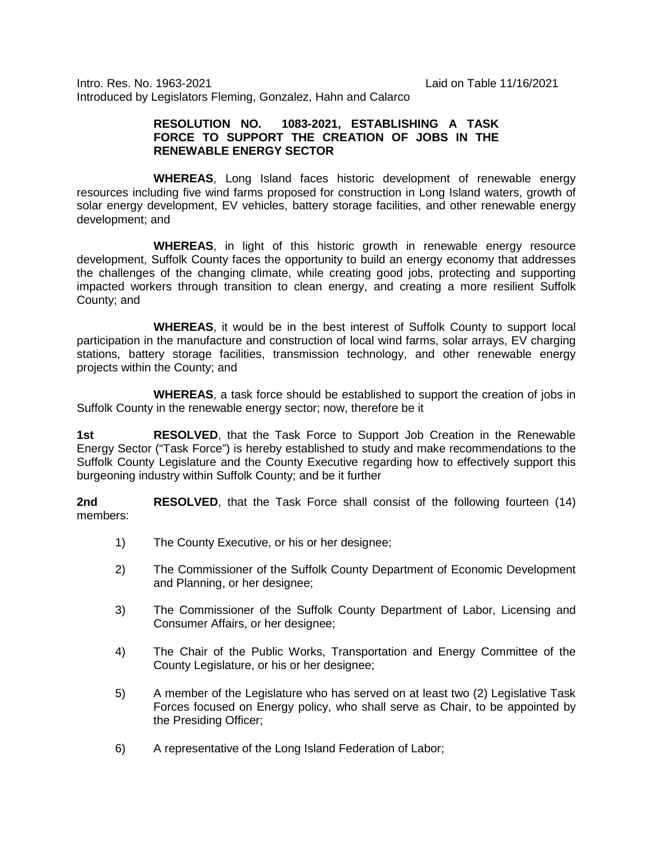Intro. Res. No. 1963-2021 Laid on Table 11/16/2021 Introduced by Legislators Fleming, Gonzalez, Hahn and Calarco

## **RESOLUTION NO. 1083-2021, ESTABLISHING A TASK FORCE TO SUPPORT THE CREATION OF JOBS IN THE RENEWABLE ENERGY SECTOR**

**WHEREAS**, Long Island faces historic development of renewable energy resources including five wind farms proposed for construction in Long Island waters, growth of solar energy development, EV vehicles, battery storage facilities, and other renewable energy development; and

**WHEREAS**, in light of this historic growth in renewable energy resource development, Suffolk County faces the opportunity to build an energy economy that addresses the challenges of the changing climate, while creating good jobs, protecting and supporting impacted workers through transition to clean energy, and creating a more resilient Suffolk County; and

**WHEREAS**, it would be in the best interest of Suffolk County to support local participation in the manufacture and construction of local wind farms, solar arrays, EV charging stations, battery storage facilities, transmission technology, and other renewable energy projects within the County; and

**WHEREAS**, a task force should be established to support the creation of jobs in Suffolk County in the renewable energy sector; now, therefore be it

**1st RESOLVED**, that the Task Force to Support Job Creation in the Renewable Energy Sector ("Task Force") is hereby established to study and make recommendations to the Suffolk County Legislature and the County Executive regarding how to effectively support this burgeoning industry within Suffolk County; and be it further

**2nd RESOLVED**, that the Task Force shall consist of the following fourteen (14) members:

- 1) The County Executive, or his or her designee;
- 2) The Commissioner of the Suffolk County Department of Economic Development and Planning, or her designee;
- 3) The Commissioner of the Suffolk County Department of Labor, Licensing and Consumer Affairs, or her designee;
- 4) The Chair of the Public Works, Transportation and Energy Committee of the County Legislature, or his or her designee;
- 5) A member of the Legislature who has served on at least two (2) Legislative Task Forces focused on Energy policy, who shall serve as Chair, to be appointed by the Presiding Officer;
- 6) A representative of the Long Island Federation of Labor;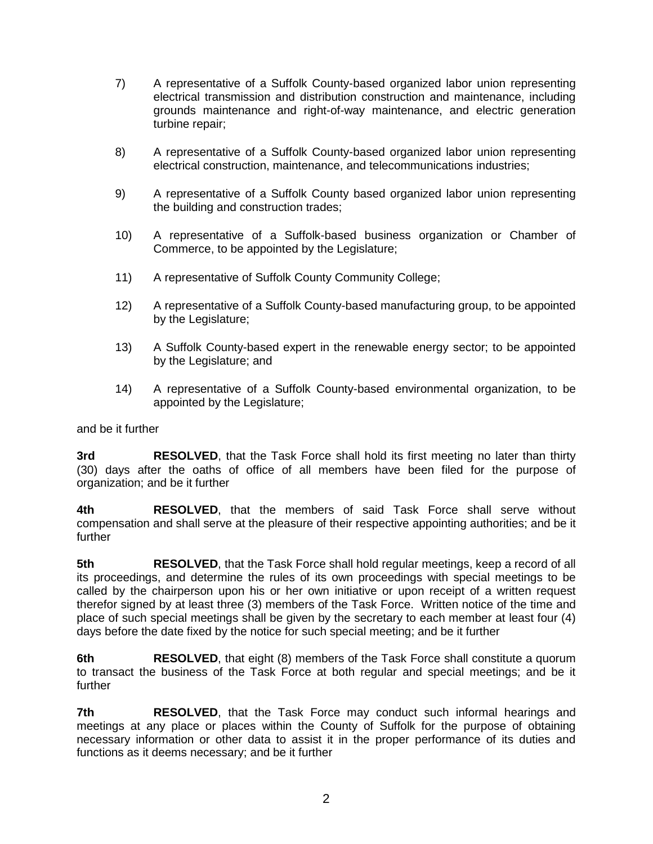- 7) A representative of a Suffolk County-based organized labor union representing electrical transmission and distribution construction and maintenance, including grounds maintenance and right-of-way maintenance, and electric generation turbine repair;
- 8) A representative of a Suffolk County-based organized labor union representing electrical construction, maintenance, and telecommunications industries;
- 9) A representative of a Suffolk County based organized labor union representing the building and construction trades;
- 10) A representative of a Suffolk-based business organization or Chamber of Commerce, to be appointed by the Legislature;
- 11) A representative of Suffolk County Community College;
- 12) A representative of a Suffolk County-based manufacturing group, to be appointed by the Legislature;
- 13) A Suffolk County-based expert in the renewable energy sector; to be appointed by the Legislature; and
- 14) A representative of a Suffolk County-based environmental organization, to be appointed by the Legislature;

and be it further

**3rd RESOLVED**, that the Task Force shall hold its first meeting no later than thirty (30) days after the oaths of office of all members have been filed for the purpose of organization; and be it further

**4th RESOLVED**, that the members of said Task Force shall serve without compensation and shall serve at the pleasure of their respective appointing authorities; and be it further

**5th RESOLVED**, that the Task Force shall hold regular meetings, keep a record of all its proceedings, and determine the rules of its own proceedings with special meetings to be called by the chairperson upon his or her own initiative or upon receipt of a written request therefor signed by at least three (3) members of the Task Force. Written notice of the time and place of such special meetings shall be given by the secretary to each member at least four (4) days before the date fixed by the notice for such special meeting; and be it further

**6th RESOLVED**, that eight (8) members of the Task Force shall constitute a quorum to transact the business of the Task Force at both regular and special meetings; and be it further

**7th RESOLVED**, that the Task Force may conduct such informal hearings and meetings at any place or places within the County of Suffolk for the purpose of obtaining necessary information or other data to assist it in the proper performance of its duties and functions as it deems necessary; and be it further